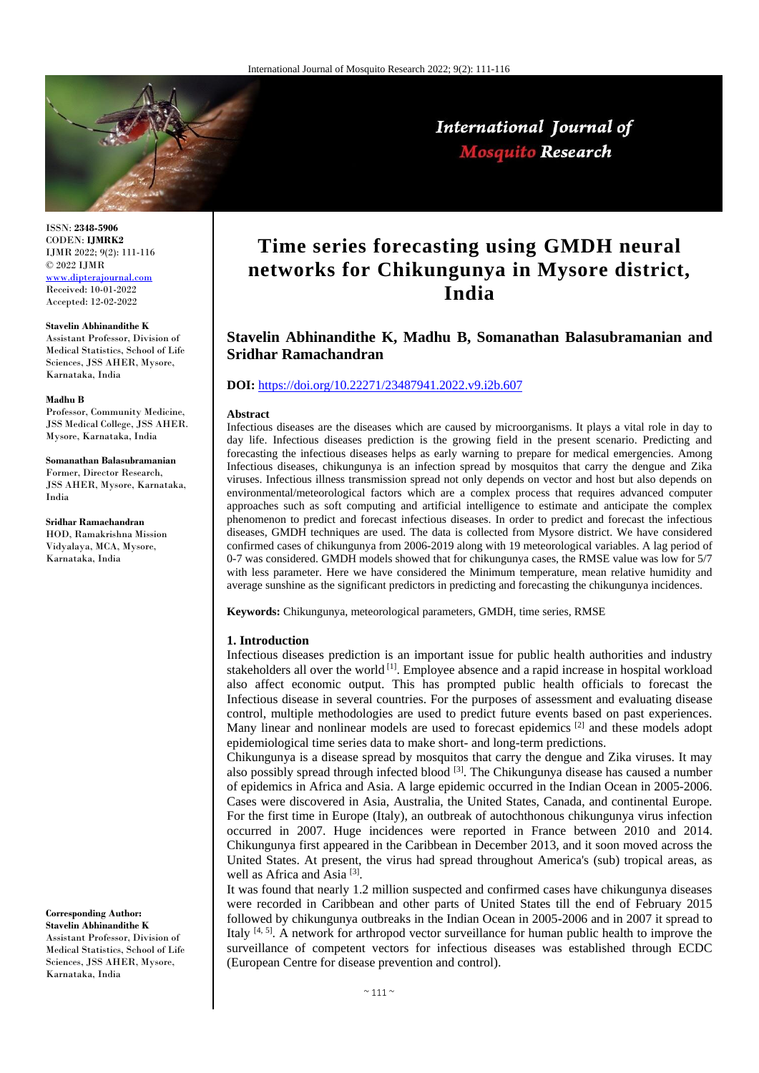

# International Journal of **Mosquito Research**

ISSN: **2348-5906** CODEN: **IJMRK2** IJMR 2022; 9(2): 111-116 © 2022 IJMR

[www.dipterajournal.com](file://///server/d/Mosquito/Issue/8%20Volume/www.dipterajournal.com) Received: 10-01-2022 Accepted: 12-02-2022

#### **Stavelin Abhinandithe K**

Assistant Professor, Division of Medical Statistics, School of Life Sciences, JSS AHER, Mysore, Karnataka, India

#### **Madhu B**

Professor, Community Medicine, JSS Medical College, JSS AHER. Mysore, Karnataka, India

#### **Somanathan Balasubramanian**

Former, Director Research, JSS AHER, Mysore, Karnataka, India

**Sridhar Ramachandran**

HOD, Ramakrishna Mission Vidyalaya, MCA, Mysore, Karnataka, India

#### **Corresponding Author: Stavelin Abhinandithe K**

Assistant Professor, Division of Medical Statistics, School of Life Sciences, JSS AHER, Mysore, Karnataka, India

# **Time series forecasting using GMDH neural networks for Chikungunya in Mysore district, India**

# **Stavelin Abhinandithe K, Madhu B, Somanathan Balasubramanian and Sridhar Ramachandran**

# **DOI:** <https://doi.org/10.22271/23487941.2022.v9.i2b.607>

#### **Abstract**

Infectious diseases are the diseases which are caused by microorganisms. It plays a vital role in day to day life. Infectious diseases prediction is the growing field in the present scenario. Predicting and forecasting the infectious diseases helps as early warning to prepare for medical emergencies. Among Infectious diseases, chikungunya is an infection spread by mosquitos that carry the dengue and Zika viruses. Infectious illness transmission spread not only depends on vector and host but also depends on environmental/meteorological factors which are a complex process that requires advanced computer approaches such as soft computing and artificial intelligence to estimate and anticipate the complex phenomenon to predict and forecast infectious diseases. In order to predict and forecast the infectious diseases, GMDH techniques are used. The data is collected from Mysore district. We have considered confirmed cases of chikungunya from 2006-2019 along with 19 meteorological variables. A lag period of 0-7 was considered. GMDH models showed that for chikungunya cases, the RMSE value was low for 5/7 with less parameter. Here we have considered the Minimum temperature, mean relative humidity and average sunshine as the significant predictors in predicting and forecasting the chikungunya incidences.

**Keywords:** Chikungunya, meteorological parameters, GMDH, time series, RMSE

### **1. Introduction**

Infectious diseases prediction is an important issue for public health authorities and industry stakeholders all over the world [1]. Employee absence and a rapid increase in hospital workload also affect economic output. This has prompted public health officials to forecast the Infectious disease in several countries. For the purposes of assessment and evaluating disease control, multiple methodologies are used to predict future events based on past experiences. Many linear and nonlinear models are used to forecast epidemics [2] and these models adopt epidemiological time series data to make short- and long-term predictions.

Chikungunya is a disease spread by mosquitos that carry the dengue and Zika viruses. It may also possibly spread through infected blood [3]. The Chikungunya disease has caused a number of epidemics in Africa and Asia. A large epidemic occurred in the Indian Ocean in 2005-2006. Cases were discovered in Asia, Australia, the United States, Canada, and continental Europe. For the first time in Europe (Italy), an outbreak of autochthonous chikungunya virus infection occurred in 2007. Huge incidences were reported in France between 2010 and 2014. Chikungunya first appeared in the Caribbean in December 2013, and it soon moved across the United States. At present, the virus had spread throughout America's (sub) tropical areas, as well as Africa and Asia<sup>[3]</sup>.

It was found that nearly 1.2 million suspected and confirmed cases have chikungunya diseases were recorded in Caribbean and other parts of United States till the end of February 2015 followed by chikungunya outbreaks in the Indian Ocean in 2005-2006 and in 2007 it spread to Italy [4, 5]. A network for arthropod vector surveillance for human public health to improve the surveillance of competent vectors for infectious diseases was established through ECDC (European Centre for disease prevention and control).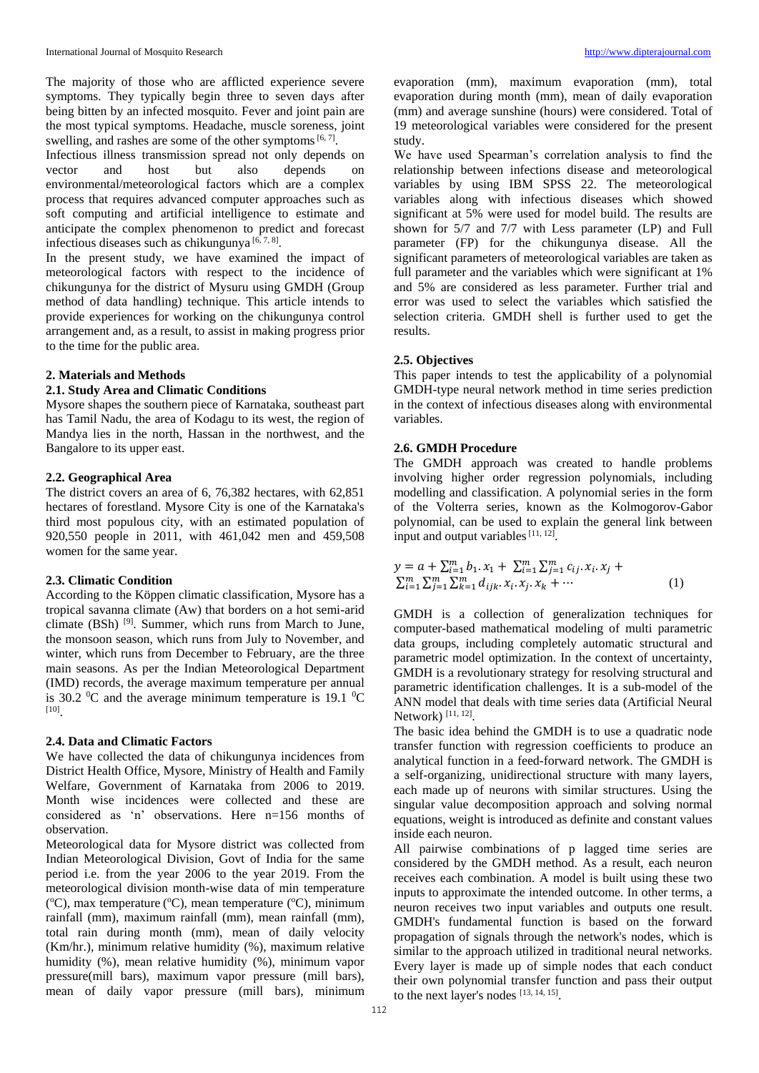The majority of those who are afflicted experience severe symptoms. They typically begin three to seven days after being bitten by an infected mosquito. Fever and joint pain are the most typical symptoms. Headache, muscle soreness, joint swelling, and rashes are some of the other symptoms  $[6, 7]$ .

Infectious illness transmission spread not only depends on vector and host but also depends on environmental/meteorological factors which are a complex process that requires advanced computer approaches such as soft computing and artificial intelligence to estimate and anticipate the complex phenomenon to predict and forecast infectious diseases such as chikungunya  $[6, 7, 8]$ .

In the present study, we have examined the impact of meteorological factors with respect to the incidence of chikungunya for the district of Mysuru using GMDH (Group method of data handling) technique. This article intends to provide experiences for working on the chikungunya control arrangement and, as a result, to assist in making progress prior to the time for the public area.

#### **2. Materials and Methods**

### **2.1. Study Area and Climatic Conditions**

Mysore shapes the southern piece of Karnataka, southeast part has Tamil Nadu, the area of Kodagu to its west, the region of Mandya lies in the north, Hassan in the northwest, and the Bangalore to its upper east.

#### **2.2. Geographical Area**

The district covers an area of 6, 76,382 hectares, with 62,851 hectares of forestland. Mysore City is one of the Karnataka's third most populous city, with an estimated population of 920,550 people in 2011, with 461,042 men and 459,508 women for the same year.

# **2.3. Climatic Condition**

According to the Köppen climatic classification, Mysore has a tropical savanna climate (Aw) that borders on a hot semi-arid climate (BSh) [9]. Summer, which runs from March to June, the monsoon season, which runs from July to November, and winter, which runs from December to February, are the three main seasons. As per the Indian Meteorological Department (IMD) records, the average maximum temperature per annual is 30.2  $\rm{^0C}$  and the average minimum temperature is 19.1  $\rm{^0C}$ [10] .

#### **2.4. Data and Climatic Factors**

We have collected the data of chikungunya incidences from District Health Office, Mysore, Ministry of Health and Family Welfare, Government of Karnataka from 2006 to 2019. Month wise incidences were collected and these are considered as 'n' observations. Here n=156 months of observation.

Meteorological data for Mysore district was collected from Indian Meteorological Division, Govt of India for the same period i.e. from the year 2006 to the year 2019. From the meteorological division month-wise data of min temperature (°C), max temperature (°C), mean temperature (°C), minimum rainfall (mm), maximum rainfall (mm), mean rainfall (mm), total rain during month (mm), mean of daily velocity (Km/hr.), minimum relative humidity (%), maximum relative humidity (%), mean relative humidity (%), minimum vapor pressure(mill bars), maximum vapor pressure (mill bars), mean of daily vapor pressure (mill bars), minimum

evaporation (mm), maximum evaporation (mm), total evaporation during month (mm), mean of daily evaporation (mm) and average sunshine (hours) were considered. Total of 19 meteorological variables were considered for the present study.

We have used Spearman's correlation analysis to find the relationship between infections disease and meteorological variables by using IBM SPSS 22. The meteorological variables along with infectious diseases which showed significant at 5% were used for model build. The results are shown for 5/7 and 7/7 with Less parameter (LP) and Full parameter (FP) for the chikungunya disease. All the significant parameters of meteorological variables are taken as full parameter and the variables which were significant at 1% and 5% are considered as less parameter. Further trial and error was used to select the variables which satisfied the selection criteria. GMDH shell is further used to get the results.

#### **2.5. Objectives**

This paper intends to test the applicability of a polynomial GMDH-type neural network method in time series prediction in the context of infectious diseases along with environmental variables.

# **2.6. GMDH Procedure**

The GMDH approach was created to handle problems involving higher order regression polynomials, including modelling and classification. A polynomial series in the form of the Volterra series, known as the Kolmogorov-Gabor polynomial, can be used to explain the general link between input and output variables [11, 12].

$$
y = a + \sum_{i=1}^{m} b_i \cdot x_1 + \sum_{i=1}^{m} \sum_{j=1}^{m} c_{ij} \cdot x_i \cdot x_j + \sum_{i=1}^{m} \sum_{j=1}^{m} \sum_{k=1}^{m} d_{ijk} \cdot x_i \cdot x_j \cdot x_k + \cdots
$$
\n(1)

GMDH is a collection of generalization techniques for computer-based mathematical modeling of multi parametric data groups, including completely automatic structural and parametric model optimization. In the context of uncertainty, GMDH is a revolutionary strategy for resolving structural and parametric identification challenges. It is a sub-model of the ANN model that deals with time series data (Artificial Neural Network)<sup>[11, 12]</sup>.

The basic idea behind the GMDH is to use a quadratic node transfer function with regression coefficients to produce an analytical function in a feed-forward network. The GMDH is a self-organizing, unidirectional structure with many layers, each made up of neurons with similar structures. Using the singular value decomposition approach and solving normal equations, weight is introduced as definite and constant values inside each neuron.

All pairwise combinations of p lagged time series are considered by the GMDH method. As a result, each neuron receives each combination. A model is built using these two inputs to approximate the intended outcome. In other terms, a neuron receives two input variables and outputs one result. GMDH's fundamental function is based on the forward propagation of signals through the network's nodes, which is similar to the approach utilized in traditional neural networks. Every layer is made up of simple nodes that each conduct their own polynomial transfer function and pass their output to the next layer's nodes [13, 14, 15].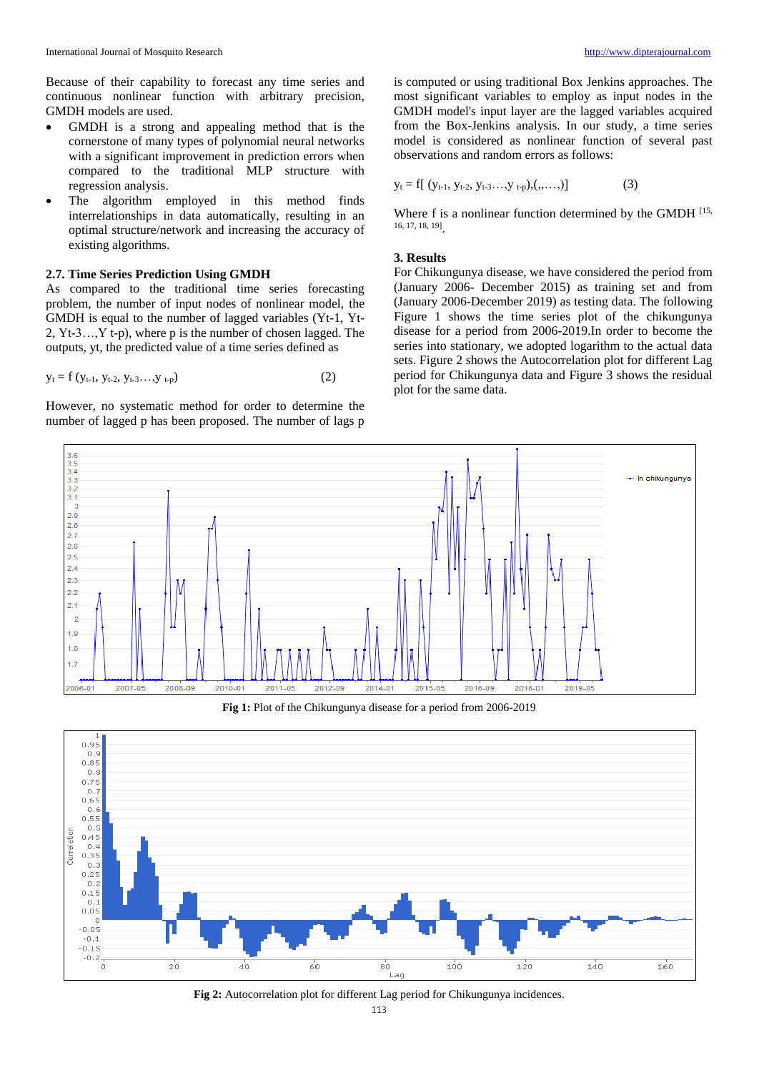Because of their capability to forecast any time series and continuous nonlinear function with arbitrary precision, GMDH models are used.

- GMDH is a strong and appealing method that is the cornerstone of many types of polynomial neural networks with a significant improvement in prediction errors when compared to the traditional MLP structure with regression analysis.
- The algorithm employed in this method finds interrelationships in data automatically, resulting in an optimal structure/network and increasing the accuracy of existing algorithms.

#### **2.7. Time Series Prediction Using GMDH**

As compared to the traditional time series forecasting problem, the number of input nodes of nonlinear model, the GMDH is equal to the number of lagged variables (Yt-1, Yt-2, Yt-3…,Y t-p), where p is the number of chosen lagged. The outputs, yt, the predicted value of a time series defined as

$$
y_t = f(y_{t-1}, y_{t-2}, y_{t-3}, \ldots, y_{t-p})
$$
 (2)

However, no systematic method for order to determine the number of lagged p has been proposed. The number of lags p is computed or using traditional Box Jenkins approaches. The most significant variables to employ as input nodes in the GMDH model's input layer are the lagged variables acquired from the Box-Jenkins analysis. In our study, a time series model is considered as nonlinear function of several past observations and random errors as follows:

$$
y_t = f[(y_{t-1}, y_{t-2}, y_{t-3}, \ldots, y_{t-p}), (y_{t-1}, y_{t-2}, \ldots)]
$$
 (3)

Where f is a nonlinear function determined by the GMDH [15, 16, 17, 18, 19] .

#### **3. Results**

For Chikungunya disease, we have considered the period from (January 2006- December 2015) as training set and from (January 2006-December 2019) as testing data. The following Figure 1 shows the time series plot of the chikungunya disease for a period from 2006-2019.In order to become the series into stationary, we adopted logarithm to the actual data sets. Figure 2 shows the Autocorrelation plot for different Lag period for Chikungunya data and Figure 3 shows the residual plot for the same data.



**Fig 1:** Plot of the Chikungunya disease for a period from 2006-2019



**Fig 2:** Autocorrelation plot for different Lag period for Chikungunya incidences.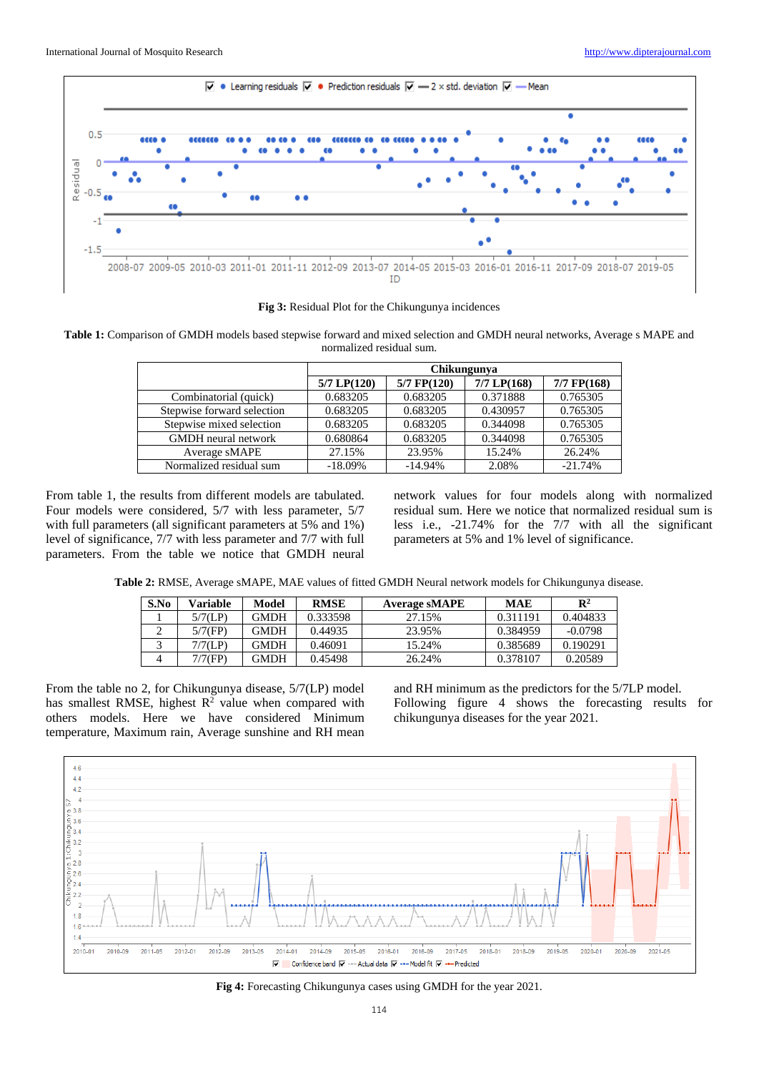

**Fig 3:** Residual Plot for the Chikungunya incidences

**Table 1:** Comparison of GMDH models based stepwise forward and mixed selection and GMDH neural networks, Average s MAPE and normalized residual sum.

|                            | Chikungunya      |                  |                  |                  |
|----------------------------|------------------|------------------|------------------|------------------|
|                            | $5/7$ LP $(120)$ | $5/7$ FP $(120)$ | $7/7$ LP $(168)$ | $7/7$ FP $(168)$ |
| Combinatorial (quick)      | 0.683205         | 0.683205         | 0.371888         | 0.765305         |
| Stepwise forward selection | 0.683205         | 0.683205         | 0.430957         | 0.765305         |
| Stepwise mixed selection   | 0.683205         | 0.683205         | 0.344098         | 0.765305         |
| <b>GMDH</b> neural network | 0.680864         | 0.683205         | 0.344098         | 0.765305         |
| Average sMAPE              | 27.15%           | 23.95%           | 15.24%           | 26.24%           |
| Normalized residual sum    | $-18.09\%$       | $-14.94%$        | 2.08%            | $-21.74%$        |

From table 1, the results from different models are tabulated. Four models were considered, 5/7 with less parameter, 5/7 with full parameters (all significant parameters at 5% and 1%) level of significance, 7/7 with less parameter and 7/7 with full parameters. From the table we notice that GMDH neural network values for four models along with normalized residual sum. Here we notice that normalized residual sum is less i.e., -21.74% for the 7/7 with all the significant parameters at 5% and 1% level of significance.

**Table 2:** RMSE, Average sMAPE, MAE values of fitted GMDH Neural network models for Chikungunya disease.

| S.No | Variable   | Model       | <b>RMSE</b> | <b>Average sMAPE</b> | <b>MAE</b> | $\mathbf{R}^2$ |
|------|------------|-------------|-------------|----------------------|------------|----------------|
|      | $5/7$ (LP) | <b>GMDH</b> | 0.333598    | 27.15%               | 0.311191   | 0.404833       |
|      | $5/7$ (FP) | <b>GMDH</b> | 0.44935     | 23.95%               | 0.384959   | $-0.0798$      |
|      | $7/7$ (LP) | <b>GMDH</b> | 0.46091     | 15.24%               | 0.385689   | 0.190291       |
|      | $7/7$ (FP) | GMDH        | 0.45498     | 26.24%               | 0.378107   | 0.20589        |

From the table no 2, for Chikungunya disease, 5/7(LP) model has smallest RMSE, highest  $R^2$  value when compared with others models. Here we have considered Minimum temperature, Maximum rain, Average sunshine and RH mean and RH minimum as the predictors for the 5/7LP model. Following figure 4 shows the forecasting results for chikungunya diseases for the year 2021.



**Fig 4:** Forecasting Chikungunya cases using GMDH for the year 2021.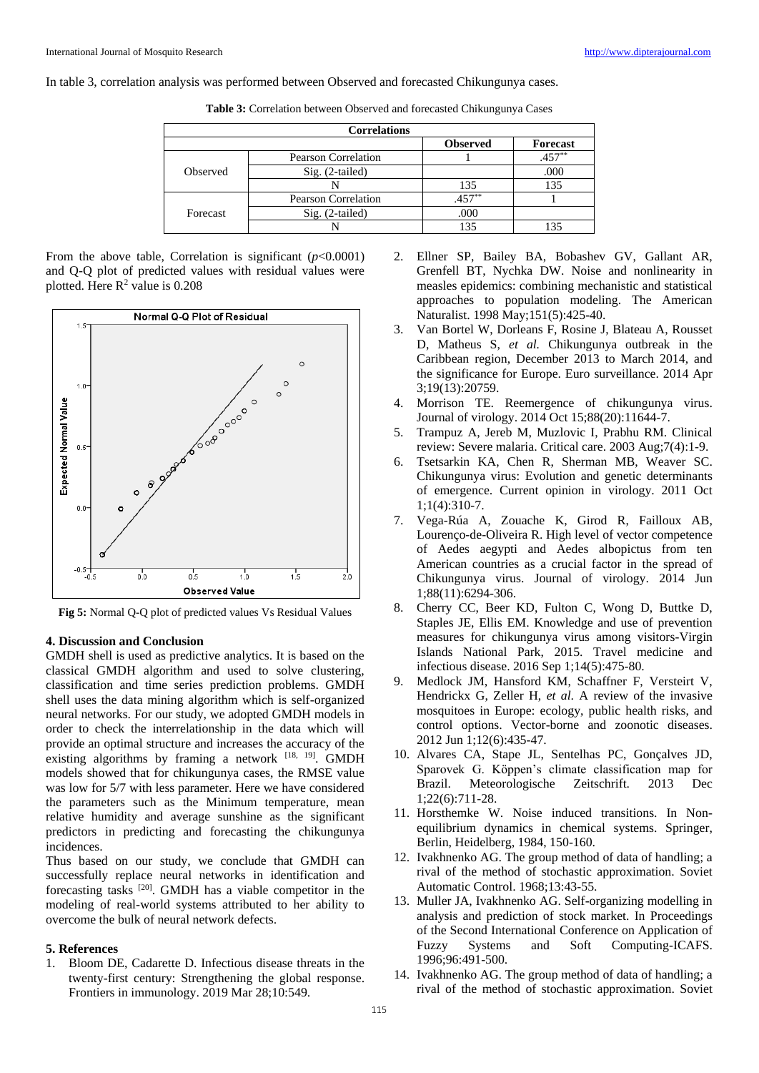In table 3, correlation analysis was performed between Observed and forecasted Chikungunya cases.

**Table 3:** Correlation between Observed and forecasted Chikungunya Cases

| <b>Correlations</b> |                            |                 |                 |  |  |  |
|---------------------|----------------------------|-----------------|-----------------|--|--|--|
|                     |                            | <b>Observed</b> | <b>Forecast</b> |  |  |  |
| Observed            | <b>Pearson Correlation</b> |                 |                 |  |  |  |
|                     | $Sig. (2-tailed)$          |                 | .000            |  |  |  |
|                     |                            | 135             | 135             |  |  |  |
| Forecast            | Pearson Correlation        | $.457***$       |                 |  |  |  |
|                     | $Sig. (2-tailed)$          | .000            |                 |  |  |  |
|                     |                            | 135             | -35             |  |  |  |

From the above table, Correlation is significant  $(p<0.0001)$ and Q-Q plot of predicted values with residual values were plotted. Here  $R^2$  value is 0.208



**Fig 5:** Normal Q-Q plot of predicted values Vs Residual Values

# **4. Discussion and Conclusion**

GMDH shell is used as predictive analytics. It is based on the classical GMDH algorithm and used to solve clustering, classification and time series prediction problems. GMDH shell uses the data mining algorithm which is self-organized neural networks. For our study, we adopted GMDH models in order to check the interrelationship in the data which will provide an optimal structure and increases the accuracy of the existing algorithms by framing a network [18, 19]. GMDH models showed that for chikungunya cases, the RMSE value was low for 5/7 with less parameter. Here we have considered the parameters such as the Minimum temperature, mean relative humidity and average sunshine as the significant predictors in predicting and forecasting the chikungunya incidences.

Thus based on our study, we conclude that GMDH can successfully replace neural networks in identification and forecasting tasks [20]. GMDH has a viable competitor in the modeling of real-world systems attributed to her ability to overcome the bulk of neural network defects.

# **5. References**

1. Bloom DE, Cadarette D. Infectious disease threats in the twenty-first century: Strengthening the global response. Frontiers in immunology. 2019 Mar 28;10:549.

- 2. Ellner SP, Bailey BA, Bobashev GV, Gallant AR, Grenfell BT, Nychka DW. Noise and nonlinearity in measles epidemics: combining mechanistic and statistical approaches to population modeling. The American Naturalist. 1998 May;151(5):425-40.
- 3. Van Bortel W, Dorleans F, Rosine J, Blateau A, Rousset D, Matheus S, *et al.* Chikungunya outbreak in the Caribbean region, December 2013 to March 2014, and the significance for Europe. Euro surveillance. 2014 Apr 3;19(13):20759.
- 4. Morrison TE. Reemergence of chikungunya virus. Journal of virology. 2014 Oct 15;88(20):11644-7.
- 5. Trampuz A, Jereb M, Muzlovic I, Prabhu RM. Clinical review: Severe malaria. Critical care. 2003 Aug;7(4):1-9.
- 6. Tsetsarkin KA, Chen R, Sherman MB, Weaver SC. Chikungunya virus: Evolution and genetic determinants of emergence. Current opinion in virology. 2011 Oct 1;1(4):310-7.
- 7. Vega-Rúa A, Zouache K, Girod R, Failloux AB, Lourenço-de-Oliveira R. High level of vector competence of Aedes aegypti and Aedes albopictus from ten American countries as a crucial factor in the spread of Chikungunya virus. Journal of virology. 2014 Jun 1;88(11):6294-306.
- 8. Cherry CC, Beer KD, Fulton C, Wong D, Buttke D, Staples JE, Ellis EM. Knowledge and use of prevention measures for chikungunya virus among visitors-Virgin Islands National Park, 2015. Travel medicine and infectious disease. 2016 Sep 1;14(5):475-80.
- 9. Medlock JM, Hansford KM, Schaffner F, Versteirt V, Hendrickx G, Zeller H, *et al*. A review of the invasive mosquitoes in Europe: ecology, public health risks, and control options. Vector-borne and zoonotic diseases. 2012 Jun 1;12(6):435-47.
- 10. Alvares CA, Stape JL, Sentelhas PC, Gonçalves JD, Sparovek G. Köppen's climate classification map for Brazil. Meteorologische Zeitschrift. 2013 Dec 1;22(6):711-28.
- 11. Horsthemke W. Noise induced transitions. In Nonequilibrium dynamics in chemical systems. Springer, Berlin, Heidelberg, 1984, 150-160.
- 12. Ivakhnenko AG. The group method of data of handling; a rival of the method of stochastic approximation. Soviet Automatic Control. 1968;13:43-55.
- 13. Muller JA, Ivakhnenko AG. Self-organizing modelling in analysis and prediction of stock market. In Proceedings of the Second International Conference on Application of<br>Fuzzy Systems and Soft Computing-ICAFS. Fuzzy Systems and Soft Computing-ICAFS. 1996;96:491-500.
- 14. Ivakhnenko AG. The group method of data of handling; a rival of the method of stochastic approximation. Soviet